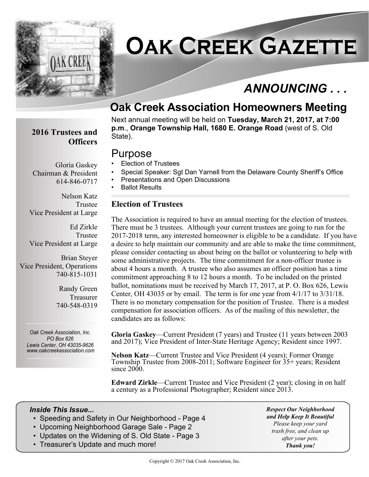

# **Oak Creek Gazette**

# *ANNOUNCING . . .*

# **Oak Creek Association Homeowners Meeting**

**2016 Trustees and Officers**

Chairman & President

Vice President at Large

Vice President at Large

Vice President, Operations

Gloria Gaskey

614-846-0717

Nelson Katz Trustee

> Ed Zirkle Trustee

Brian Steyer

740-815-1031

Randy Green Treasurer 740-548-0319

Next annual meeting will be held on **Tuesday, March 21, 2017, at 7:00 p.m**., **Orange Township Hall, 1680 E. Orange Road** (west of S. Old State).

### Purpose

- Election of Trustees
- Special Speaker: Sgt Dan Yarnell from the Delaware County Sheriff's Office
- Presentations and Open Discussions
- Ballot Results

#### **Election of Trustees**

The Association is required to have an annual meeting for the election of trustees. There must be 3 trustees. Although your current trustees are going to run for the 2017-2018 term, any interested homeowner is eligible to be a candidate. If you have a desire to help maintain our community and are able to make the time commitment, please consider contacting us about being on the ballot or volunteering to help with some administrative projects. The time commitment for a non-officer trustee is about 4 hours a month. A trustee who also assumes an officer position has a time commitment approaching 8 to 12 hours a month. To be included on the printed ballot, nominations must be received by March 17, 2017, at P. O. Box 626, Lewis Center, OH 43035 or by email. The term is for one year from 4/1/17 to 3/31/18. There is no monetary compensation for the position of Trustee. There is a modest compensation for association officers. As of the mailing of this newsletter, the candidates are as follows:

**Gloria Gaskey**—Current President (7 years) and Trustee (11 years between 2003 and 2017); Vice President of Inter-State Heritage Agency; Resident since 1997.

**Nelson Katz**—Current Trustee and Vice President (4 years); Former Orange Township Trustee from 2008-2011; Software Engineer for 35+ years; Resident since  $2000$ .

**Edward Zirkle**—Current Trustee and Vice President (2 year); closing in on half a century as a Professional Photographer; Resident since 2013.

#### *Inside This Issue...*

*Oak Creek Association, Inc. PO Box 626 Lewis Center, OH 43035-9626 www.oakcreekassociation.com*

- Speeding and Safety in Our Neighborhood Page 4
- Upcoming Neighborhood Garage Sale Page 2
- Updates on the Widening of S. Old State Page 3
- Treasurer's Update and much more!

*Respect Our Neighborhood and Help Keep It Beautiful Please keep your yard trash free, and clean up after your pets. Thank you!*

Copyright © 2017 Oak Creek Association, Inc.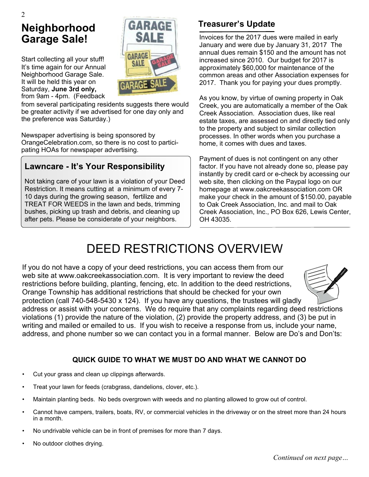# **Neighborhood Garage Sale!**

Start collecting all your stuff! It's time again for our Annual Neighborhood Garage Sale. It will be held this year on Saturday, **June 3rd only,** from 9am - 4pm. (Feedback



from several participating residents suggests there would be greater activity if we advertised for one day only and the preference was Saturday.)

Newspaper advertising is being sponsored by OrangeCelebration.com, so there is no cost to participating HOAs for newspaper advertising.

### **Lawncare - It's Your Responsibility**

Not taking care of your lawn is a violation of your Deed Restriction. It means cutting at a minimum of every 7- 10 days during the growing season, fertilize and TREAT FOR WEEDS in the lawn and beds, trimming bushes, picking up trash and debris, and cleaning up after pets. Please be considerate of your neighbors.

### **Treasurer's Update**

Invoices for the 2017 dues were mailed in early January and were due by January 31, 2017 The annual dues remain \$150 and the amount has not increased since 2010. Our budget for 2017 is approximately \$60,000 for maintenance of the common areas and other Association expenses for 2017. Thank you for paying your dues promptly.

As you know, by virtue of owning property in Oak Creek, you are automatically a member of the Oak Creek Association. Association dues, like real estate taxes, are assessed on and directly tied only to the property and subject to similar collection processes. In other words when you purchase a home, it comes with dues and taxes.

Payment of dues is not contingent on any other factor. If you have not already done so, please pay instantly by credit card or e-check by accessing our web site, then clicking on the Paypal logo on our homepage at www.oakcreekassociation.com OR make your check in the amount of \$150.00, payable to Oak Creek Association, Inc. and mail to Oak Creek Association, Inc., PO Box 626, Lewis Center, OH 43035.

# DEED RESTRICTIONS OVERVIEW

If you do not have a copy of your deed restrictions, you can access them from our web site at www.oakcreekassociation.com. It is very important to review the deed restrictions before building, planting, fencing, etc. In addition to the deed restrictions, Orange Township has additional restrictions that should be checked for your own protection (call 740-548-5430 x 124). If you have any questions, the trustees will gladly



address or assist with your concerns. We do require that any complaints regarding deed restrictions violations (1) provide the nature of the violation, (2) provide the property address, and (3) be put in writing and mailed or emailed to us. If you wish to receive a response from us, include your name, address, and phone number so we can contact you in a formal manner. Below are Do's and Don'ts:

#### **QUICK GUIDE TO WHAT WE MUST DO AND WHAT WE CANNOT DO**

- Cut your grass and clean up clippings afterwards.
- Treat your lawn for feeds (crabgrass, dandelions, clover, etc.).
- Maintain planting beds. No beds overgrown with weeds and no planting allowed to grow out of control.
- Cannot have campers, trailers, boats, RV, or commercial vehicles in the driveway or on the street more than 24 hours in a month.
- No undrivable vehicle can be in front of premises for more than 7 days.
- No outdoor clothes drying.

*Continued on next page…*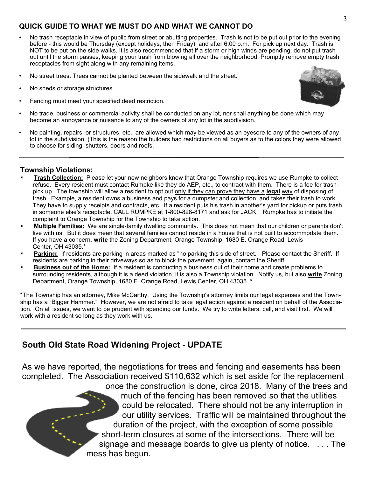#### **QUICK GUIDE TO WHAT WE MUST DO AND WHAT WE CANNOT DO**

- No trash receptacle in view of public from street or abutting properties. Trash is not to be put out prior to the evening before - this would be Thursday (except holidays, then Friday), and after 6:00 p.m. For pick up next day. Trash is NOT to be put on the side walks. It is also recommended that if a storm or high winds are pending, do not put trash out until the storm passes, keeping your trash from blowing all over the neighborhood. Promptly remove empty trash receptacles from sight along with any remaining items.
- No street trees. Trees cannot be planted between the sidewalk and the street.
- No sheds or storage structures.
- Fencing must meet your specified deed restriction.



• No painting, repairs, or structures, etc., are allowed which may be viewed as an eyesore to any of the owners of any lot in the subdivision. (This is the reason the builders had restrictions on all buyers as to the colors they were allowed to choose for siding, shutters, doors and roofs.

#### **Township Violations:**

- ß **Trash Collection:** Please let your new neighbors know that Orange Township requires we use Rumpke to collect refuse. Every resident must contact Rumpke like they do AEP, etc., to contract with them. There is a fee for trashpick up. The township will allow a resident to opt out only if they can prove they have a **legal** way of disposing of trash. Example, a resident owns a business and pays for a dumpster and collection, and takes their trash to work. They have to supply receipts and contracts, etc. If a resident puts his trash in another's yard for pickup or puts trash in someone else's receptacle, CALL RUMPKE at 1-800-828-8171 and ask for JACK. Rumpke has to initiate the complaint to Orange Township for the Township to take action.
- ß **Multiple Families:** We are single-family dwelling community. This does not mean that our children or parents don't live with us. But it does mean that several families cannot reside in a house that is not built to accommodate them. If you have a concern, **write** the Zoning Department, Orange Township, 1680 E. Orange Road, Lewis Center, OH 43035.\*
- **Parking:** If residents are parking in areas marked as "no parking this side of street." Please contact the Sheriff. If residents are parking in their driveways so as to block the pavement, again, contact the Sheriff.
- ß **Business out of the Home:** If a resident is conducting a business out of their home and create problems to surrounding residents, although it is a deed violation, it is also a Township violation. Notify us, but also **write** Zoning Department, Orange Township, 1680 E. Orange Road, Lewis Center, OH 43035. \*

\*The Township has an attorney, Mike McCarthy. Using the Township's attorney limits our legal expenses and the Township has a "Bigger Hammer." However, we are not afraid to take legal action against a resident on behalf of the Association. On all issues, we want to be prudent with spending our funds. We try to write letters, call, and visit first. We will work with a resident so long as they work with us.

#### **South Old State Road Widening Project - UPDATE**

As we have reported, the negotiations for trees and fencing and easements has been completed. The Association received \$110,632 which is set aside for the replacement once the construction is done, circa 2018. Many of the trees and

much of the fencing has been removed so that the utilities could be relocated. There should not be any interruption in our utility services. Traffic will be maintained throughout the duration of the project, with the exception of some possible short-term closures at some of the intersections. There will be signage and message boards to give us plenty of notice. . . . The mess has begun.

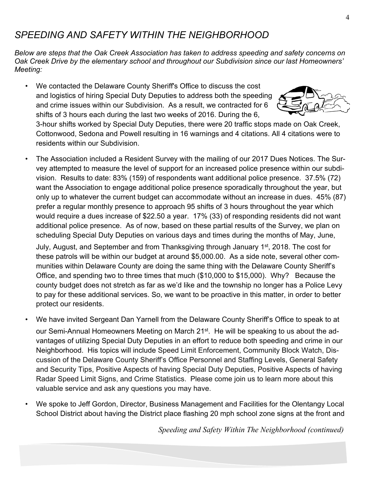### *SPEEDING AND SAFETY WITHIN THE NEIGHBORHOOD*

*Below are steps that the Oak Creek Association has taken to address speeding and safety concerns on Oak Creek Drive by the elementary school and throughout our Subdivision since our last Homeowners' Meeting:*

• We contacted the Delaware County Sheriff's Office to discuss the cost and logistics of hiring Special Duty Deputies to address both the speeding and crime issues within our Subdivision. As a result, we contracted for 6 shifts of 3 hours each during the last two weeks of 2016. During the 6,



• The Association included a Resident Survey with the mailing of our 2017 Dues Notices. The Survey attempted to measure the level of support for an increased police presence within our subdivision. Results to date: 83% (159) of respondents want additional police presence. 37.5% (72) want the Association to engage additional police presence sporadically throughout the year, but only up to whatever the current budget can accommodate without an increase in dues. 45% (87) prefer a regular monthly presence to approach 95 shifts of 3 hours throughout the year which would require a dues increase of \$22.50 a year. 17% (33) of responding residents did not want additional police presence. As of now, based on these partial results of the Survey, we plan on scheduling Special Duty Deputies on various days and times during the months of May, June,

July, August, and September and from Thanksgiving through January 1<sup>st</sup>, 2018. The cost for these patrols will be within our budget at around \$5,000.00. As a side note, several other communities within Delaware County are doing the same thing with the Delaware County Sheriff's Office, and spending two to three times that much (\$10,000 to \$15,000). Why? Because the county budget does not stretch as far as we'd like and the township no longer has a Police Levy to pay for these additional services. So, we want to be proactive in this matter, in order to better protect our residents.

- We have invited Sergeant Dan Yarnell from the Delaware County Sheriff's Office to speak to at our Semi-Annual Homeowners Meeting on March 21<sup>st</sup>. He will be speaking to us about the advantages of utilizing Special Duty Deputies in an effort to reduce both speeding and crime in our Neighborhood. His topics will include Speed Limit Enforcement, Community Block Watch, Discussion of the Delaware County Sheriff's Office Personnel and Staffing Levels, General Safety and Security Tips, Positive Aspects of having Special Duty Deputies, Positive Aspects of having Radar Speed Limit Signs, and Crime Statistics. Please come join us to learn more about this valuable service and ask any questions you may have.
- We spoke to Jeff Gordon, Director, Business Management and Facilities for the Olentangy Local School District about having the District place flashing 20 mph school zone signs at the front and

*Speeding and Safety Within The Neighborhood (continued)*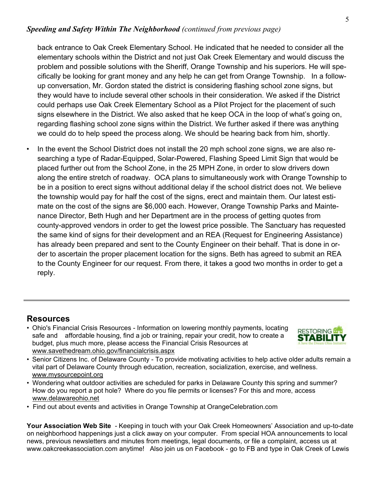#### *Speeding and Safety Within The Neighborhood (continued from previous page)*

back entrance to Oak Creek Elementary School. He indicated that he needed to consider all the elementary schools within the District and not just Oak Creek Elementary and would discuss the problem and possible solutions with the Sheriff, Orange Township and his superiors. He will specifically be looking for grant money and any help he can get from Orange Township. In a followup conversation, Mr. Gordon stated the district is considering flashing school zone signs, but they would have to include several other schools in their consideration. We asked if the District could perhaps use Oak Creek Elementary School as a Pilot Project for the placement of such signs elsewhere in the District. We also asked that he keep OCA in the loop of what's going on, regarding flashing school zone signs within the District. We further asked if there was anything we could do to help speed the process along. We should be hearing back from him, shortly.

In the event the School District does not install the 20 mph school zone signs, we are also researching a type of Radar-Equipped, Solar-Powered, Flashing Speed Limit Sign that would be placed further out from the School Zone, in the 25 MPH Zone, in order to slow drivers down along the entire stretch of roadway. OCA plans to simultaneously work with Orange Township to be in a position to erect signs without additional delay if the school district does not. We believe the township would pay for half the cost of the signs, erect and maintain them. Our latest estimate on the cost of the signs are \$6,000 each. However, Orange Township Parks and Maintenance Director, Beth Hugh and her Department are in the process of getting quotes from county-approved vendors in order to get the lowest price possible. The Sanctuary has requested the same kind of signs for their development and an REA (Request for Engineering Assistance) has already been prepared and sent to the County Engineer on their behalf. That is done in order to ascertain the proper placement location for the signs. Beth has agreed to submit an REA to the County Engineer for our request. From there, it takes a good two months in order to get a reply.

#### **Resources**

- Ohio's Financial Crisis Resources Information on lowering monthly payments, locating safe and affordable housing, find a job or training, repair your credit, how to create a budget, plus much more, please access the Financial Crisis Resources at www.savethedream.ohio.gov/financialcrisis.aspx
- **RESTORING** STABILI
- Senior Citizens Inc. of Delaware County To provide motivating activities to help active older adults remain a vital part of Delaware County through education, recreation, socialization, exercise, and wellness. www.mysourcepoint.org
- Wondering what outdoor activities are scheduled for parks in Delaware County this spring and summer? How do you report a pot hole? Where do you file permits or licenses? For this and more, access www.delawareohio.net
- Find out about events and activities in Orange Township at OrangeCelebration.com

**Your Association Web Site** *-* Keeping in touch with your Oak Creek Homeowners' Association and up-to-date on neighborhood happenings just a click away on your computer. From special HOA announcements to local news, previous newsletters and minutes from meetings, legal documents, or file a complaint, access us at www.oakcreekassociation.com anytime! Also join us on Facebook - go to FB and type in Oak Creek of Lewis